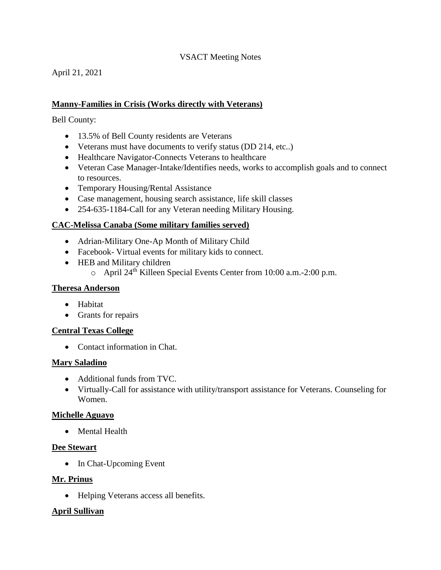# VSACT Meeting Notes

April 21, 2021

# **Manny-Families in Crisis (Works directly with Veterans)**

Bell County:

- 13.5% of Bell County residents are Veterans
- Veterans must have documents to verify status (DD 214, etc..)
- Healthcare Navigator-Connects Veterans to healthcare
- Veteran Case Manager-Intake/Identifies needs, works to accomplish goals and to connect to resources.
- Temporary Housing/Rental Assistance
- Case management, housing search assistance, life skill classes
- 254-635-1184-Call for any Veteran needing Military Housing.

# **CAC-Melissa Canaba (Some military families served)**

- Adrian-Military One-Ap Month of Military Child
- Facebook- Virtual events for military kids to connect.
- HEB and Military children
	- $\circ$  April 24<sup>th</sup> Killeen Special Events Center from 10:00 a.m.-2:00 p.m.

# **Theresa Anderson**

- Habitat
- Grants for repairs

# **Central Texas College**

• Contact information in Chat.

# **Mary Saladino**

- Additional funds from TVC.
- Virtually-Call for assistance with utility/transport assistance for Veterans. Counseling for Women.

# **Michelle Aguayo**

• Mental Health

# **Dee Stewart**

• In Chat-Upcoming Event

# **Mr. Prinus**

• Helping Veterans access all benefits.

# **April Sullivan**